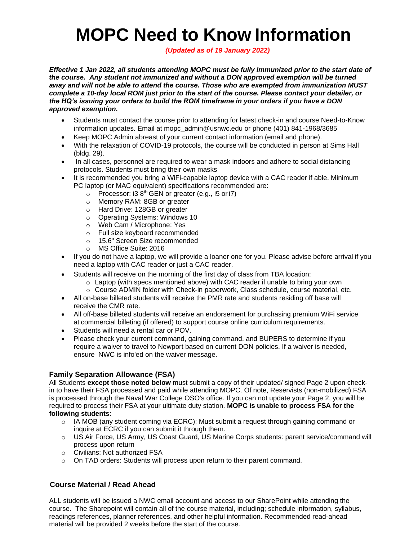# **MOPC Need to Know Information**

*(Updated as of 19 January 2022)*

*Effective 1 Jan 2022, all students attending MOPC must be fully immunized prior to the start date of the course. Any student not immunized and without a DON approved exemption will be turned away and will not be able to attend the course. Those who are exempted from immunization MUST complete a 10-day local ROM just prior to the start of the course. Please contact your detailer, or the HQ's issuing your orders to build the ROM timeframe in your orders if you have a DON approved exemption.*

- Students must contact the course prior to attending for latest check-in and course Need-to-Know information updates. Email at mopc\_admin@usnwc.edu or phone (401) 841-1968/3685
- Keep MOPC Admin abreast of your current contact information (email and phone).
- With the relaxation of COVID-19 protocols, the course will be conducted in person at Sims Hall (bldg. 29).
- In all cases, personnel are required to wear a mask indoors and adhere to social distancing protocols. Students must bring their own masks
- It is recommended you bring a WiFi-capable laptop device with a CAC reader if able. Minimum PC laptop (or MAC equivalent) specifications recommended are:
	- $\circ$  Processor: i3 8<sup>th</sup> GEN or greater (e.g., i5 or i7)
	- o Memory RAM: 8GB or greater
	- o Hard Drive: 128GB or greater
	- o Operating Systems: Windows 10
	- o Web Cam / Microphone: Yes
	- o Full size keyboard recommended
	- o 15.6" Screen Size recommended
	- o MS Office Suite: 2016
- If you do not have a laptop, we will provide a loaner one for you. Please advise before arrival if you need a laptop with CAC reader or just a CAC reader.
- Students will receive on the morning of the first day of class from TBA location:
	- $\circ$  Laptop (with specs mentioned above) with CAC reader if unable to bring your own
	- $\circ$  Course ADMIN folder with Check-in paperwork, Class schedule, course material, etc.
- All on-base billeted students will receive the PMR rate and students residing off base will receive the CMR rate.
- All off-base billeted students will receive an endorsement for purchasing premium WiFi service at commercial billeting (if offered) to support course online curriculum requirements.
- Students will need a rental car or POV.
- Please check your current command, gaining command, and BUPERS to determine if you require a waiver to travel to Newport based on current DON policies. If a waiver is needed, ensure NWC is info'ed on the waiver message.

## **Family Separation Allowance (FSA)**

All Students **except those noted below** must submit a copy of their updated/ signed Page 2 upon checkin to have their FSA processed and paid while attending MOPC. Of note, Reservists (non-mobilized) FSA is processed through the Naval War College OSO's office. If you can not update your Page 2, you will be required to process their FSA at your ultimate duty station. **MOPC is unable to process FSA for the following students**:

- $\circ$  IA MOB (any student coming via ECRC): Must submit a request through gaining command or inquire at ECRC if you can submit it through them.
- o US Air Force, US Army, US Coast Guard, US Marine Corps students: parent service/command will process upon return
- o Civilians: Not authorized FSA
- o On TAD orders: Students will process upon return to their parent command.

## **Course Material / Read Ahead**

ALL students will be issued a NWC email account and access to our SharePoint while attending the course. The Sharepoint will contain all of the course material, including; schedule information, syllabus, readings references, planner references, and other helpful information. Recommended read-ahead material will be provided 2 weeks before the start of the course.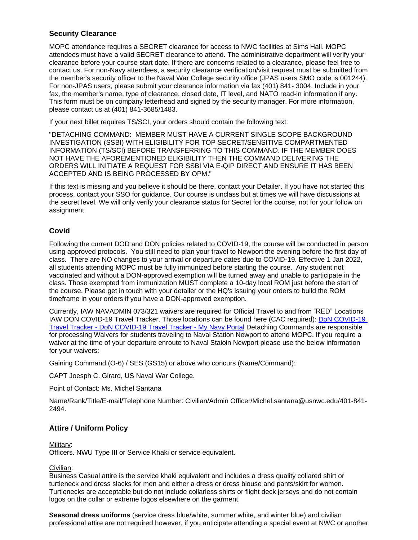## **Security Clearance**

MOPC attendance requires a SECRET clearance for access to NWC facilities at Sims Hall. MOPC attendees must have a valid SECRET clearance to attend. The administrative department will verify your clearance before your course start date. If there are concerns related to a clearance, please feel free to contact us. For non-Navy attendees, a security clearance verification/visit request must be submitted from the member's security officer to the Naval War College security office (JPAS users SMO code is 001244). For non-JPAS users, please submit your clearance information via fax (401) 841- 3004. Include in your fax, the member's name, type of clearance, closed date, IT level, and NATO read-in information if any. This form must be on company letterhead and signed by the security manager. For more information, please contact us at (401) 841-3685/1483.

If your next billet requires TS/SCI, your orders should contain the following text:

"DETACHING COMMAND: MEMBER MUST HAVE A CURRENT SINGLE SCOPE BACKGROUND INVESTIGATION (SSBI) WITH ELIGIBILITY FOR TOP SECRET/SENSITIVE COMPARTMENTED INFORMATION (TS/SCI) BEFORE TRANSFERRING TO THIS COMMAND. IF THE MEMBER DOES NOT HAVE THE AFOREMENTIONED ELIGIBILITY THEN THE COMMAND DELIVERING THE ORDERS WILL INITIATE A REQUEST FOR SSBI VIA E-QIP DIRECT AND ENSURE IT HAS BEEN ACCEPTED AND IS BEING PROCESSED BY OPM."

If this text is missing and you believe it should be there, contact your Detailer. If you have not started this process, contact your SSO for guidance. Our course is unclass but at times we will have discussions at the secret level. We will only verify your clearance status for Secret for the course, not for your follow on assignment.

## **Covid**

Following the current DOD and DON policies related to COVID-19, the course will be conducted in person using approved protocols. You still need to plan your travel to Newport the evening before the first day of class. There are NO changes to your arrival or departure dates due to COVID-19. Effective 1 Jan 2022, all students attending MOPC must be fully immunized before starting the course. Any student not vaccinated and without a DON-approved exemption will be turned away and unable to participate in the class. Those exempted from immunization MUST complete a 10-day local ROM just before the start of the course. Please get in touch with your detailer or the HQ's issuing your orders to build the ROM timeframe in your orders if you have a DON-approved exemption.

Currently, IAW NAVADMIN 073/321 waivers are required for Official Travel to and from "RED" Locations IAW DON COVID-19 Travel Tracker. Those locations can be found here (CAC required): [DoN COVID-19](https://www.mnp.navy.mil/group/don-covid-19-travel-tracker)  Travel Tracker - [DoN COVID-19 Travel Tracker -](https://www.mnp.navy.mil/group/don-covid-19-travel-tracker) My Navy Portal Detaching Commands are responsible for processing Waivers for students traveling to Naval Station Newport to attend MOPC. If you require a waiver at the time of your departure enroute to Naval Staioin Newport please use the below information for your waivers:

Gaining Command (O-6) / SES (GS15) or above who concurs (Name/Command):

CAPT Joesph C. Girard, US Naval War College.

Point of Contact: Ms. Michel Santana

Name/Rank/Title/E-mail/Telephone Number: Civilian/Admin Officer/Michel.santana@usnwc.edu/401-841- 2494.

## **Attire / Uniform Policy**

Military: Officers. NWU Type III or Service Khaki or service equivalent.

#### Civilian:

Business Casual attire is the service khaki equivalent and includes a dress quality collared shirt or turtleneck and dress slacks for men and either a dress or dress blouse and pants/skirt for women. Turtlenecks are acceptable but do not include collarless shirts or flight deck jerseys and do not contain logos on the collar or extreme logos elsewhere on the garment.

**Seasonal dress uniforms** (service dress blue/white, summer white, and winter blue) and civilian professional attire are not required however, if you anticipate attending a special event at NWC or another